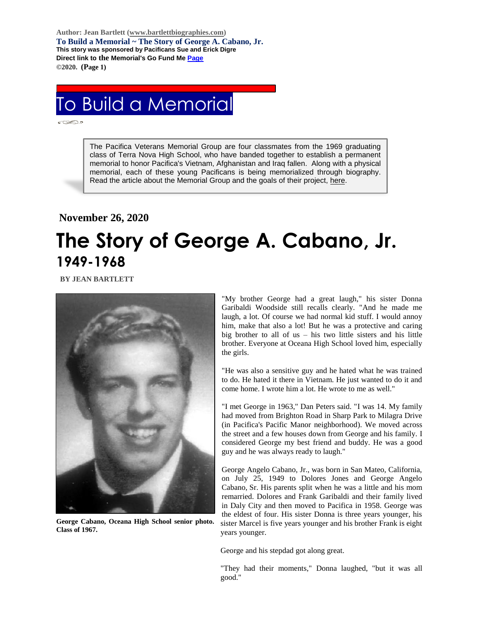**Author: Jean Bartlett [\(www.bartlettbiographies.com\)](http://www.bartlettbiographies.com/) To Build a Memorial ~ The Story of George A. Cabano, Jr. This story was sponsored by Pacificans Sue and Erick Digre Direct link to the Memorial's Go Fund M[e Page](https://www.gofundme.com/f/uyf8r-25000?utm_source=customer&utm_medium=copy_link-tip&utm_campaign=p_cp+share-sheet) ©2020. (Page 1)**

## To Build a Memorial

The Pacifica Veterans Memorial Group are four classmates from the 1969 graduating class of Terra Nova High School, who have banded together to establish a permanent memorial to honor Pacifica's Vietnam, Afghanistan and Iraq fallen. Along with a physical memorial, each of these young Pacificans is being memorialized through biography. Read the article about the Memorial Group and the goals of their project, [here.](https://46d14119-b42d-469c-887f-083db2a10fe7.filesusr.com/ugd/5ea9c3_694b61f9c88d4750bf1a520233e8f35f.pdf)

## **November 26, 2020 The Story of George A. Cabano, Jr. 1949-1968**

 **BY JEAN BARTLETT** 



**George Cabano, Oceana High School senior photo. Class of 1967.**

"My brother George had a great laugh," his sister Donna Garibaldi Woodside still recalls clearly. "And he made me laugh, a lot. Of course we had normal kid stuff. I would annoy him, make that also a lot! But he was a protective and caring big brother to all of us  $-$  his two little sisters and his little brother. Everyone at Oceana High School loved him, especially the girls.

"He was also a sensitive guy and he hated what he was trained to do. He hated it there in Vietnam. He just wanted to do it and come home. I wrote him a lot. He wrote to me as well."

"I met George in 1963," Dan Peters said. "I was 14. My family had moved from Brighton Road in Sharp Park to Milagra Drive (in Pacifica's Pacific Manor neighborhood). We moved across the street and a few houses down from George and his family. I considered George my best friend and buddy. He was a good guy and he was always ready to laugh."

George Angelo Cabano, Jr., was born in San Mateo, California, on July 25, 1949 to Dolores Jones and George Angelo Cabano, Sr. His parents split when he was a little and his mom remarried. Dolores and Frank Garibaldi and their family lived in Daly City and then moved to Pacifica in 1958. George was the eldest of four. His sister Donna is three years younger, his sister Marcel is five years younger and his brother Frank is eight years younger.

George and his stepdad got along great.

"They had their moments," Donna laughed, "but it was all good."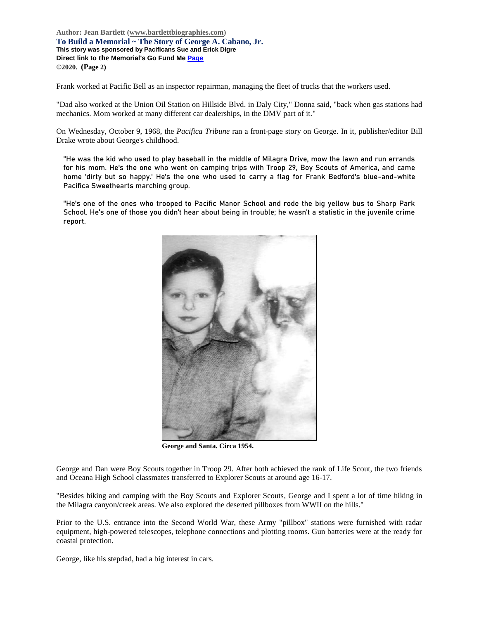**Author: Jean Bartlett [\(www.bartlettbiographies.com\)](http://www.bartlettbiographies.com/) To Build a Memorial ~ The Story of George A. Cabano, Jr. This story was sponsored by Pacificans Sue and Erick Digre Direct link to the Memorial's Go Fund M[e Page](https://www.gofundme.com/f/uyf8r-25000?utm_source=customer&utm_medium=copy_link-tip&utm_campaign=p_cp+share-sheet) ©2020. (Page 2)**

Frank worked at Pacific Bell as an inspector repairman, managing the fleet of trucks that the workers used.

"Dad also worked at the Union Oil Station on Hillside Blvd. in Daly City," Donna said, "back when gas stations had mechanics. Mom worked at many different car dealerships, in the DMV part of it."

On Wednesday, October 9, 1968, the *Pacifica Tribune* ran a front-page story on George. In it, publisher/editor Bill Drake wrote about George's childhood.

"He was the kid who used to play baseball in the middle of Milagra Drive, mow the lawn and run errands for his mom. He's the one who went on camping trips with Troop 29, Boy Scouts of America, and came home 'dirty but so happy.' He's the one who used to carry a flag for Frank Bedford's blue-and-white Pacifica Sweethearts marching group.

"He's one of the ones who trooped to Pacific Manor School and rode the big yellow bus to Sharp Park School. He's one of those you didn't hear about being in trouble; he wasn't a statistic in the juvenile crime report.



**George and Santa. Circa 1954.**

George and Dan were Boy Scouts together in Troop 29. After both achieved the rank of Life Scout, the two friends and Oceana High School classmates transferred to Explorer Scouts at around age 16-17.

"Besides hiking and camping with the Boy Scouts and Explorer Scouts, George and I spent a lot of time hiking in the Milagra canyon/creek areas. We also explored the deserted pillboxes from WWII on the hills."

Prior to the U.S. entrance into the Second World War, these Army "pillbox" stations were furnished with radar equipment, high-powered telescopes, telephone connections and plotting rooms. Gun batteries were at the ready for coastal protection.

George, like his stepdad, had a big interest in cars.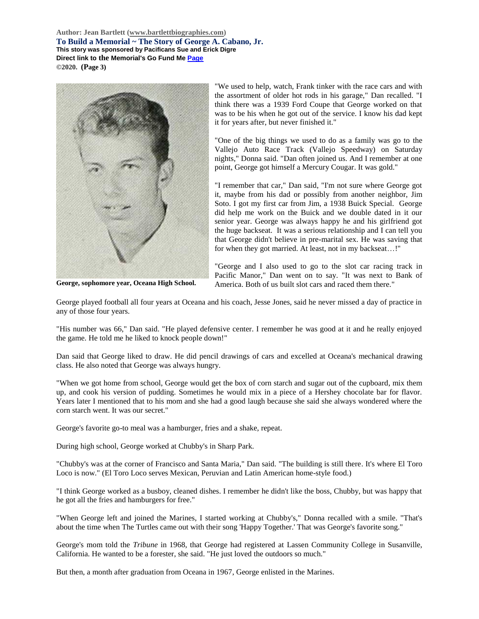**Author: Jean Bartlett [\(www.bartlettbiographies.com\)](http://www.bartlettbiographies.com/) To Build a Memorial ~ The Story of George A. Cabano, Jr. This story was sponsored by Pacificans Sue and Erick Digre Direct link to the Memorial's Go Fund M[e Page](https://www.gofundme.com/f/uyf8r-25000?utm_source=customer&utm_medium=copy_link-tip&utm_campaign=p_cp+share-sheet) ©2020. (Page 3)**



**George, sophomore year, Oceana High School.**

"We used to help, watch, Frank tinker with the race cars and with the assortment of older hot rods in his garage," Dan recalled. "I think there was a 1939 Ford Coupe that George worked on that was to be his when he got out of the service. I know his dad kept it for years after, but never finished it."

"One of the big things we used to do as a family was go to the Vallejo Auto Race Track (Vallejo Speedway) on Saturday nights," Donna said. "Dan often joined us. And I remember at one point, George got himself a Mercury Cougar. It was gold."

"I remember that car," Dan said, "I'm not sure where George got it, maybe from his dad or possibly from another neighbor, Jim Soto. I got my first car from Jim, a 1938 Buick Special. George did help me work on the Buick and we double dated in it our senior year. George was always happy he and his girlfriend got the huge backseat. It was a serious relationship and I can tell you that George didn't believe in pre-marital sex. He was saving that for when they got married. At least, not in my backseat…!"

"George and I also used to go to the slot car racing track in Pacific Manor," Dan went on to say. "It was next to Bank of America. Both of us built slot cars and raced them there."

George played football all four years at Oceana and his coach, Jesse Jones, said he never missed a day of practice in any of those four years.

"His number was 66," Dan said. "He played defensive center. I remember he was good at it and he really enjoyed the game. He told me he liked to knock people down!"

Dan said that George liked to draw. He did pencil drawings of cars and excelled at Oceana's mechanical drawing class. He also noted that George was always hungry.

"When we got home from school, George would get the box of corn starch and sugar out of the cupboard, mix them up, and cook his version of pudding. Sometimes he would mix in a piece of a Hershey chocolate bar for flavor. Years later I mentioned that to his mom and she had a good laugh because she said she always wondered where the corn starch went. It was our secret."

George's favorite go-to meal was a hamburger, fries and a shake, repeat.

During high school, George worked at Chubby's in Sharp Park.

"Chubby's was at the corner of Francisco and Santa Maria," Dan said. "The building is still there. It's where El Toro Loco is now." (El Toro Loco serves Mexican, Peruvian and Latin American home-style food.)

"I think George worked as a busboy, cleaned dishes. I remember he didn't like the boss, Chubby, but was happy that he got all the fries and hamburgers for free."

"When George left and joined the Marines, I started working at Chubby's," Donna recalled with a smile. "That's about the time when The Turtles came out with their song 'Happy Together.' That was George's favorite song."

George's mom told the *Tribune* in 1968, that George had registered at Lassen Community College in Susanville, California. He wanted to be a forester, she said. "He just loved the outdoors so much."

But then, a month after graduation from Oceana in 1967, George enlisted in the Marines.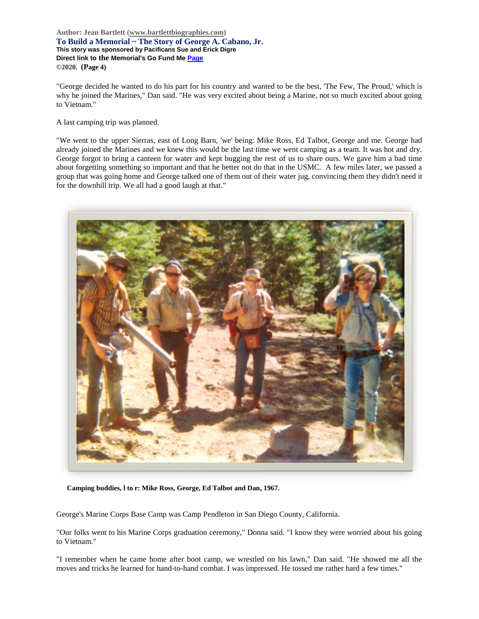**Author: Jean Bartlett [\(www.bartlettbiographies.com\)](http://www.bartlettbiographies.com/) To Build a Memorial ~ The Story of George A. Cabano, Jr. This story was sponsored by Pacificans Sue and Erick Digre Direct link to the Memorial's Go Fund M[e Page](https://www.gofundme.com/f/uyf8r-25000?utm_source=customer&utm_medium=copy_link-tip&utm_campaign=p_cp+share-sheet) ©2020. (Page 4)**

"George decided he wanted to do his part for his country and wanted to be the best, 'The Few, The Proud,' which is why he joined the Marines," Dan said. "He was very excited about being a Marine, not so much excited about going to Vietnam."

A last camping trip was planned.

"We went to the upper Sierras, east of Long Barn, 'we' being: Mike Ross, Ed Talbot, George and me. George had already joined the Marines and we knew this would be the last time we went camping as a team. It was hot and dry. George forgot to bring a canteen for water and kept bugging the rest of us to share ours. We gave him a bad time about forgetting something so important and that he better not do that in the USMC. A few miles later, we passed a group that was going home and George talked one of them out of their water jug, convincing them they didn't need it for the downhill trip. We all had a good laugh at that."



**Camping buddies, l to r: Mike Ross, George, Ed Talbot and Dan, 1967.**

George's Marine Corps Base Camp was Camp Pendleton in San Diego County, California.

"Our folks went to his Marine Corps graduation ceremony," Donna said. "I know they were worried about his going to Vietnam."

"I remember when he came home after boot camp, we wrestled on his lawn," Dan said. "He showed me all the moves and tricks he learned for hand-to-hand combat. I was impressed. He tossed me rather hard a few times."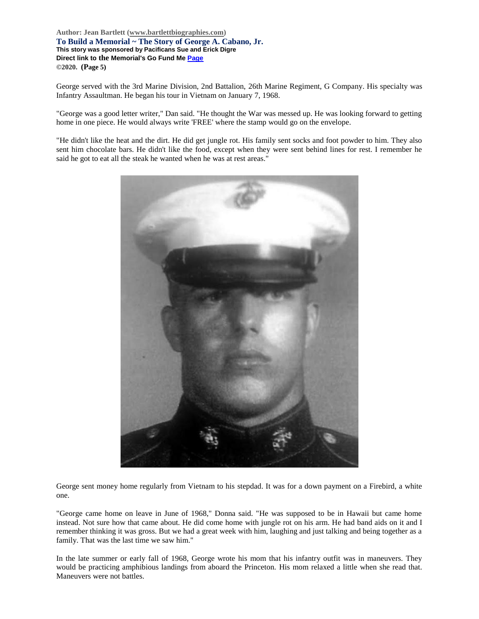**Author: Jean Bartlett [\(www.bartlettbiographies.com\)](http://www.bartlettbiographies.com/) To Build a Memorial ~ The Story of George A. Cabano, Jr. This story was sponsored by Pacificans Sue and Erick Digre Direct link to the Memorial's Go Fund M[e Page](https://www.gofundme.com/f/uyf8r-25000?utm_source=customer&utm_medium=copy_link-tip&utm_campaign=p_cp+share-sheet) ©2020. (Page 5)**

George served with the 3rd Marine Division, 2nd Battalion, 26th Marine Regiment, G Company. His specialty was Infantry Assaultman. He began his tour in Vietnam on January 7, 1968.

"George was a good letter writer," Dan said. "He thought the War was messed up. He was looking forward to getting home in one piece. He would always write 'FREE' where the stamp would go on the envelope.

"He didn't like the heat and the dirt. He did get jungle rot. His family sent socks and foot powder to him. They also sent him chocolate bars. He didn't like the food, except when they were sent behind lines for rest. I remember he said he got to eat all the steak he wanted when he was at rest areas."



George sent money home regularly from Vietnam to his stepdad. It was for a down payment on a Firebird, a white one.

"George came home on leave in June of 1968," Donna said. "He was supposed to be in Hawaii but came home instead. Not sure how that came about. He did come home with jungle rot on his arm. He had band aids on it and I remember thinking it was gross. But we had a great week with him, laughing and just talking and being together as a family. That was the last time we saw him."

In the late summer or early fall of 1968, George wrote his mom that his infantry outfit was in maneuvers. They would be practicing amphibious landings from aboard the Princeton. His mom relaxed a little when she read that. Maneuvers were not battles.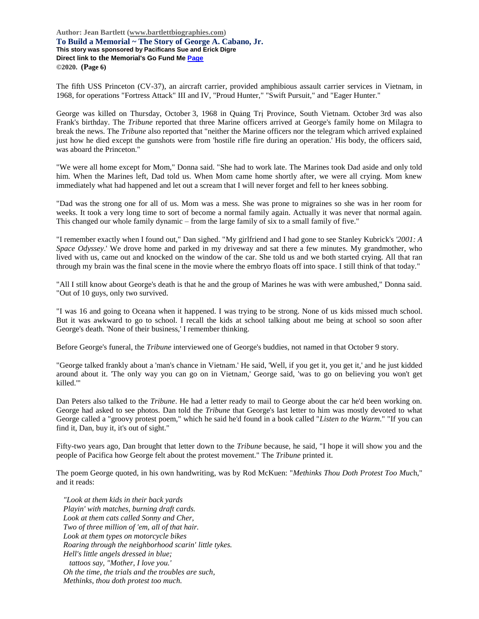**Author: Jean Bartlett [\(www.bartlettbiographies.com\)](http://www.bartlettbiographies.com/) To Build a Memorial ~ The Story of George A. Cabano, Jr. This story was sponsored by Pacificans Sue and Erick Digre Direct link to the Memorial's Go Fund M[e Page](https://www.gofundme.com/f/uyf8r-25000?utm_source=customer&utm_medium=copy_link-tip&utm_campaign=p_cp+share-sheet) ©2020. (Page 6)**

The fifth USS Princeton (CV-37), an aircraft carrier, provided amphibious assault carrier services in Vietnam, in 1968, for operations "Fortress Attack" III and IV, "Proud Hunter," "Swift Pursuit," and "Eager Hunter."

George was killed on Thursday, October 3, 1968 in Quảng Trị Province, South Vietnam. October 3rd was also Frank's birthday. The *Tribune* reported that three Marine officers arrived at George's family home on Milagra to break the news. The *Tribune* also reported that "neither the Marine officers nor the telegram which arrived explained just how he died except the gunshots were from 'hostile rifle fire during an operation.' His body, the officers said, was aboard the Princeton."

"We were all home except for Mom," Donna said. "She had to work late. The Marines took Dad aside and only told him. When the Marines left, Dad told us. When Mom came home shortly after, we were all crying. Mom knew immediately what had happened and let out a scream that I will never forget and fell to her knees sobbing.

"Dad was the strong one for all of us. Mom was a mess. She was prone to migraines so she was in her room for weeks. It took a very long time to sort of become a normal family again. Actually it was never that normal again. This changed our whole family dynamic – from the large family of six to a small family of five."

"I remember exactly when I found out," Dan sighed. "My girlfriend and I had gone to see Stanley Kubrick's *'2001: A Space Odyssey*.' We drove home and parked in my driveway and sat there a few minutes. My grandmother, who lived with us, came out and knocked on the window of the car. She told us and we both started crying. All that ran through my brain was the final scene in the movie where the embryo floats off into space. I still think of that today."

"All I still know about George's death is that he and the group of Marines he was with were ambushed," Donna said. "Out of 10 guys, only two survived.

"I was 16 and going to Oceana when it happened. I was trying to be strong. None of us kids missed much school. But it was awkward to go to school. I recall the kids at school talking about me being at school so soon after George's death. 'None of their business,' I remember thinking.

Before George's funeral, the *Tribune* interviewed one of George's buddies, not named in that October 9 story.

"George talked frankly about a 'man's chance in Vietnam.' He said, 'Well, if you get it, you get it,' and he just kidded around about it. 'The only way you can go on in Vietnam,' George said, 'was to go on believing you won't get killed.'"

Dan Peters also talked to the *Tribune*. He had a letter ready to mail to George about the car he'd been working on. George had asked to see photos. Dan told the *Tribune* that George's last letter to him was mostly devoted to what George called a "groovy protest poem," which he said he'd found in a book called "*Listen to the Warm*." "If you can find it, Dan, buy it, it's out of sight."

Fifty-two years ago, Dan brought that letter down to the *Tribune* because, he said, "I hope it will show you and the people of Pacifica how George felt about the protest movement." The *Tribune* printed it.

The poem George quoted, in his own handwriting, was by Rod McKuen: "*Methinks Thou Doth Protest Too Muc*h," and it reads:

*"Look at them kids in their back yards Playin' with matches, burning draft cards. Look at them cats called Sonny and Cher, Two of three million of 'em, all of that hair. Look at them types on motorcycle bikes Roaring through the neighborhood scarin' little tykes. Hell's little angels dressed in blue; tattoos say, "Mother, I love you.' Oh the time, the trials and the troubles are such, Methinks, thou doth protest too much.*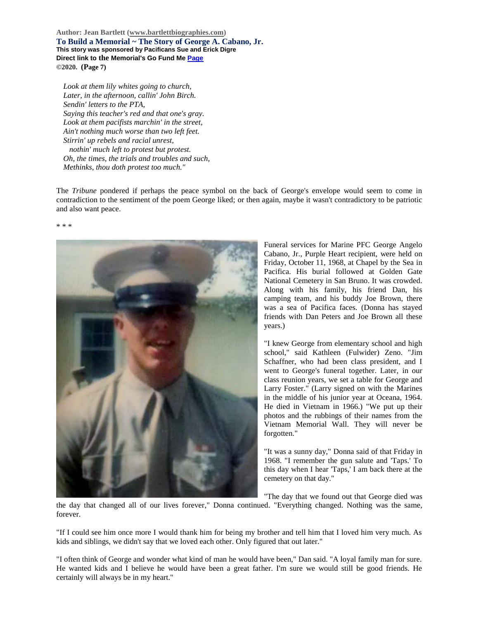**Author: Jean Bartlett [\(www.bartlettbiographies.com\)](http://www.bartlettbiographies.com/) To Build a Memorial ~ The Story of George A. Cabano, Jr. This story was sponsored by Pacificans Sue and Erick Digre Direct link to the Memorial's Go Fund M[e Page](https://www.gofundme.com/f/uyf8r-25000?utm_source=customer&utm_medium=copy_link-tip&utm_campaign=p_cp+share-sheet) ©2020. (Page 7)**

*Look at them lily whites going to church, Later, in the afternoon, callin' John Birch. Sendin' letters to the PTA, Saying this teacher's red and that one's gray. Look at them pacifists marchin' in the street, Ain't nothing much worse than two left feet. Stirrin' up rebels and racial unrest, nothin' much left to protest but protest. Oh, the times, the trials and troubles and such, Methinks, thou doth protest too much."*

The *Tribune* pondered if perhaps the peace symbol on the back of George's envelope would seem to come in contradiction to the sentiment of the poem George liked; or then again, maybe it wasn't contradictory to be patriotic and also want peace.

\* \* \*



Funeral services for Marine PFC George Angelo Cabano, Jr., Purple Heart recipient, were held on Friday, October 11, 1968, at Chapel by the Sea in Pacifica. His burial followed at Golden Gate National Cemetery in San Bruno. It was crowded. Along with his family, his friend Dan, his camping team, and his buddy Joe Brown, there was a sea of Pacifica faces. (Donna has stayed friends with Dan Peters and Joe Brown all these years.)

"I knew George from elementary school and high school," said Kathleen (Fulwider) Zeno. "Jim Schaffner, who had been class president, and I went to George's funeral together. Later, in our class reunion years, we set a table for George and Larry Foster." (Larry signed on with the Marines in the middle of his junior year at Oceana, 1964. He died in Vietnam in 1966.) "We put up their photos and the rubbings of their names from the Vietnam Memorial Wall. They will never be forgotten."

"It was a sunny day," Donna said of that Friday in 1968. "I remember the gun salute and 'Taps.' To this day when I hear 'Taps,' I am back there at the cemetery on that day."

"The day that we found out that George died was

the day that changed all of our lives forever," Donna continued. "Everything changed. Nothing was the same, forever.

"If I could see him once more I would thank him for being my brother and tell him that I loved him very much. As kids and siblings, we didn't say that we loved each other. Only figured that out later."

"I often think of George and wonder what kind of man he would have been," Dan said. "A loyal family man for sure. He wanted kids and I believe he would have been a great father. I'm sure we would still be good friends. He certainly will always be in my heart."